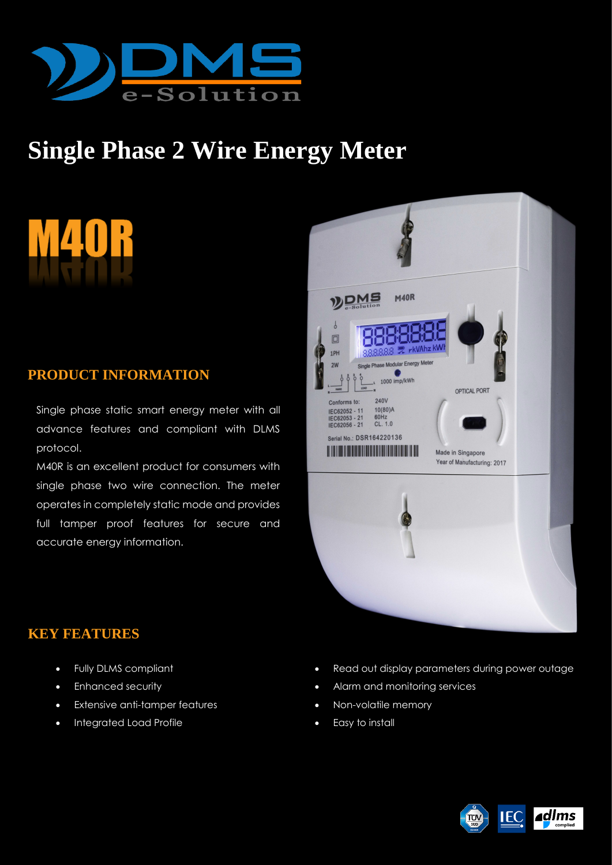

# **Single Phase 2 Wire Energy Meter**

# **PRODUCT INFORMATION**

Single phase static smart energy meter with all advance features and compliant with DLMS protocol.

M40R is an excellent product for consumers with single phase two wire connection. The meter operates in completely static mode and provides full tamper proof features for secure and accurate energy information.



# **KEY FEATURES**

- Fully DLMS compliant
- Enhanced security
- Extensive anti-tamper features
- Integrated Load Profile
- Read out display parameters during power outage
- Alarm and monitoring services
- Non-volatile memory
- Easy to install